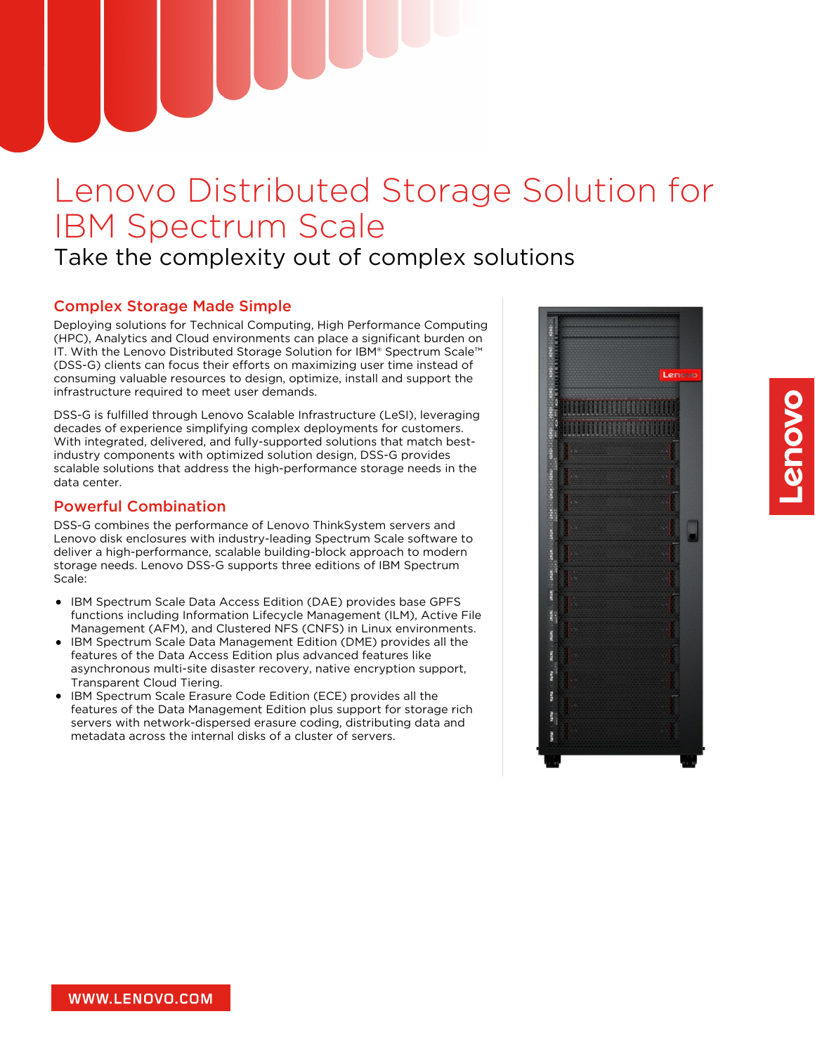# Lenovo Distributed Storage Solution for IBM Spectrum Scale

# Take the complexity out of complex solutions

# Complex Storage Made Simple

Deploying solutions for Technical Computing, High Performance Computing (HPC), Analytics and Cloud environments can place a significant burden on IT. With the Lenovo Distributed Storage Solution for IBM® Spectrum Scale™ (DSS-G) clients can focus their efforts on maximizing user time instead of consuming valuable resources to design, optimize, install and support the infrastructure required to meet user demands.

DSS-G is fulfilled through Lenovo Scalable Infrastructure (LeSI), leveraging decades of experience simplifying complex deployments for customers. With integrated, delivered, and fully-supported solutions that match bestindustry components with optimized solution design, DSS-G provides scalable solutions that address the high-performance storage needs in the data center.

# Powerful Combination

DSS-G combines the performance of Lenovo ThinkSystem servers and Lenovo disk enclosures with industry-leading Spectrum Scale software to deliver a high-performance, scalable building-block approach to modern storage needs. Lenovo DSS-G supports three editions of IBM Spectrum Scale:

- IBM Spectrum Scale Data Access Edition (DAE) provides base GPFS functions including Information Lifecycle Management (ILM), Active File Management (AFM), and Clustered NFS (CNFS) in Linux environments.
- IBM Spectrum Scale Data Management Edition (DME) provides all the features of the Data Access Edition plus advanced features like asynchronous multi-site disaster recovery, native encryption support, Transparent Cloud Tiering.
- IBM Spectrum Scale Erasure Code Edition (ECE) provides all the features of the Data Management Edition plus support for storage rich servers with network-dispersed erasure coding, distributing data and metadata across the internal disks of a cluster of servers.

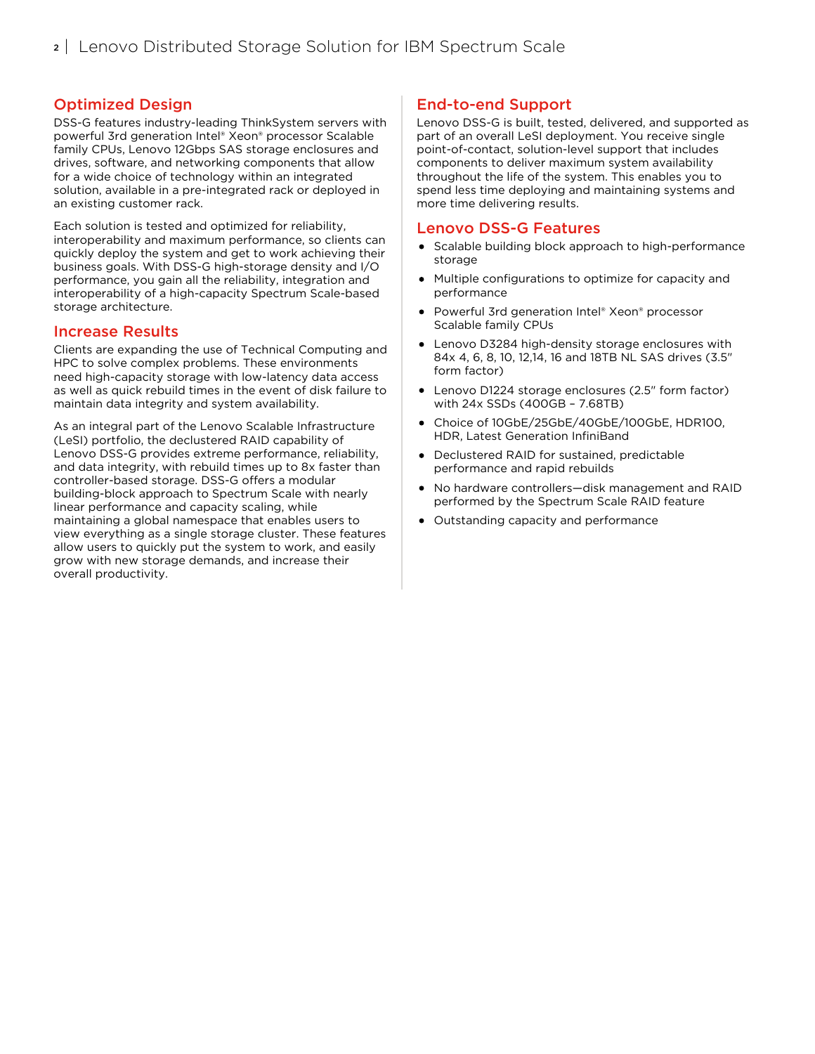# Optimized Design

DSS-G features industry-leading ThinkSystem servers with powerful 3rd generation Intel® Xeon® processor Scalable family CPUs, Lenovo 12Gbps SAS storage enclosures and drives, software, and networking components that allow for a wide choice of technology within an integrated solution, available in a pre-integrated rack or deployed in an existing customer rack.

Each solution is tested and optimized for reliability, interoperability and maximum performance, so clients can quickly deploy the system and get to work achieving their business goals. With DSS-G high-storage density and I/O performance, you gain all the reliability, integration and interoperability of a high-capacity Spectrum Scale-based storage architecture.

#### Increase Results

Clients are expanding the use of Technical Computing and HPC to solve complex problems. These environments need high-capacity storage with low-latency data access as well as quick rebuild times in the event of disk failure to maintain data integrity and system availability.

As an integral part of the Lenovo Scalable Infrastructure (LeSI) portfolio, the declustered RAID capability of Lenovo DSS-G provides extreme performance, reliability, and data integrity, with rebuild times up to 8x faster than controller-based storage. DSS-G offers a modular building-block approach to Spectrum Scale with nearly linear performance and capacity scaling, while maintaining a global namespace that enables users to view everything as a single storage cluster. These features allow users to quickly put the system to work, and easily grow with new storage demands, and increase their overall productivity.

# End-to-end Support

Lenovo DSS-G is built, tested, delivered, and supported as part of an overall LeSI deployment. You receive single point-of-contact, solution-level support that includes components to deliver maximum system availability throughout the life of the system. This enables you to spend less time deploying and maintaining systems and more time delivering results.

#### Lenovo DSS-G Features

- Scalable building block approach to high-performance storage
- Multiple configurations to optimize for capacity and performance
- Powerful 3rd generation Intel® Xeon® processor Scalable family CPUs
- Lenovo D3284 high-density storage enclosures with 84x 4, 6, 8, 10, 12,14, 16 and 18TB NL SAS drives (3.5" form factor)
- Lenovo D1224 storage enclosures (2.5" form factor) with 24x SSDs (400GB – 7.68TB)
- Choice of 10GbE/25GbE/40GbE/100GbE, HDR100,  $\bullet$ HDR, Latest Generation InfiniBand
- Declustered RAID for sustained, predictable performance and rapid rebuilds
- No hardware controllers—disk management and RAID performed by the Spectrum Scale RAID feature
- Outstanding capacity and performance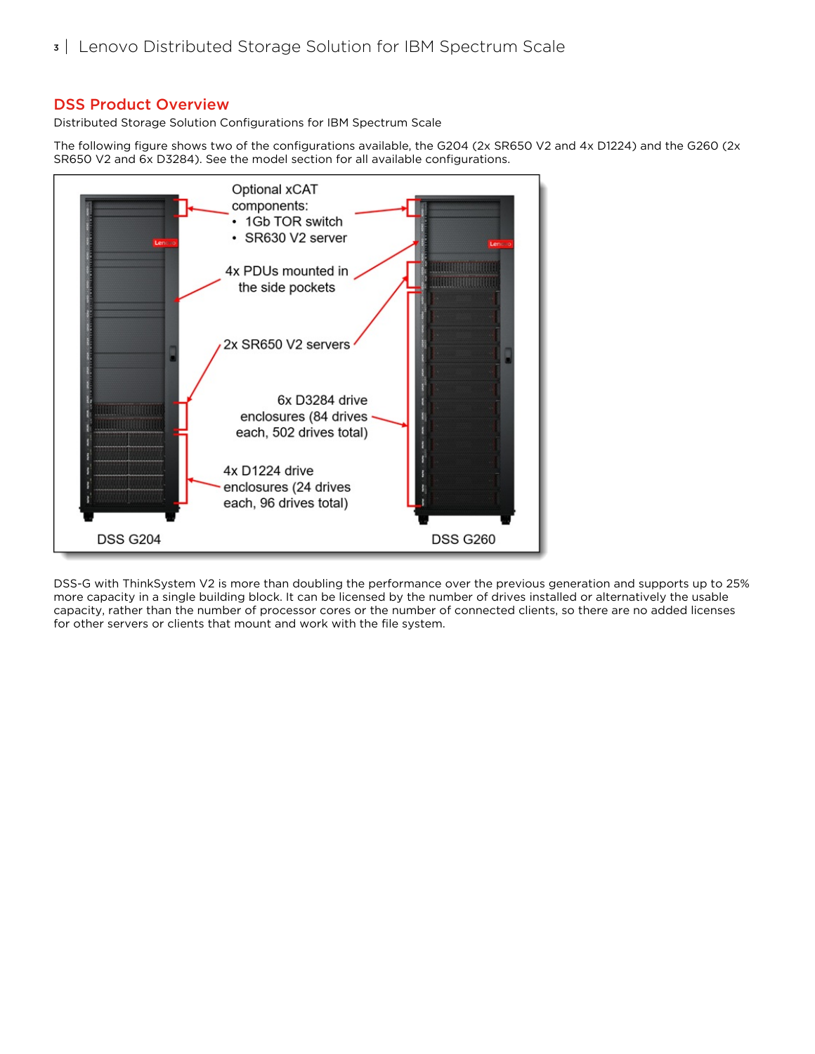#### DSS Product Overview

Distributed Storage Solution Configurations for IBM Spectrum Scale

The following figure shows two of the configurations available, the G204 (2x SR650 V2 and 4x D1224) and the G260 (2x SR650 V2 and 6x D3284). See the model section for all available configurations.



DSS-G with ThinkSystem V2 is more than doubling the performance over the previous generation and supports up to 25% more capacity in a single building block. It can be licensed by the number of drives installed or alternatively the usable capacity, rather than the number of processor cores or the number of connected clients, so there are no added licenses for other servers or clients that mount and work with the file system.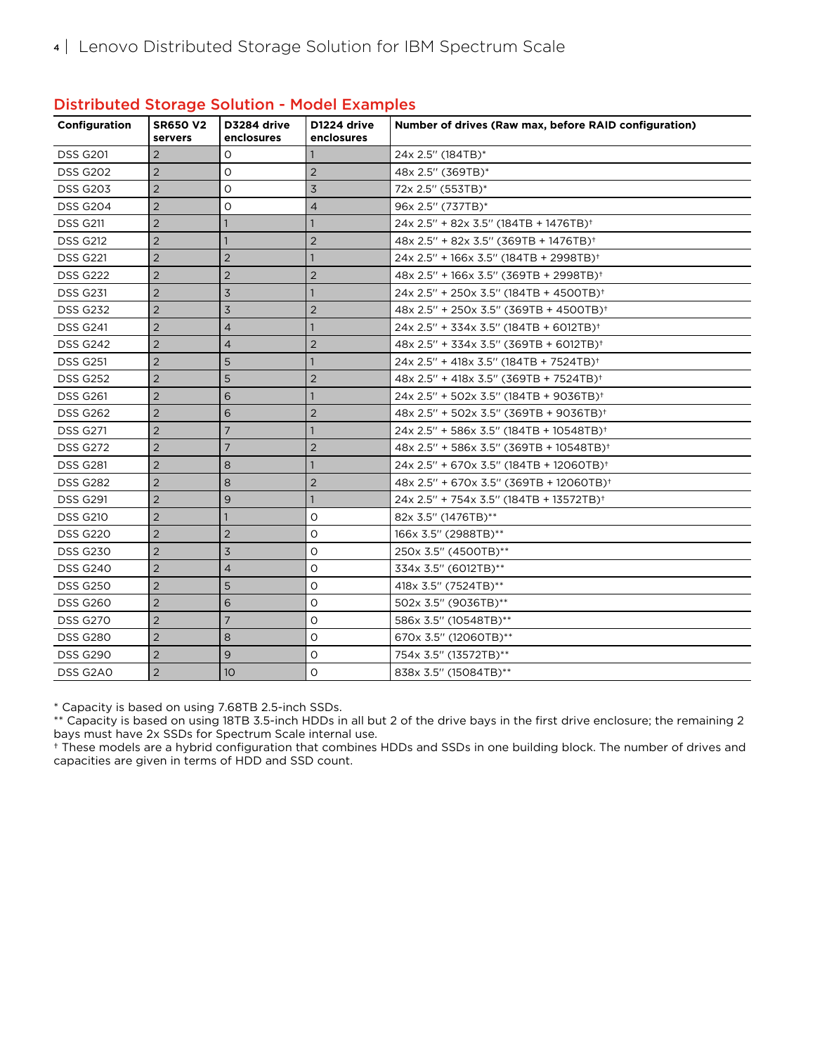| Configuration   | <b>SR650 V2</b><br>servers | D3284 drive<br>enclosures | D1224 drive<br>enclosures | Number of drives (Raw max, before RAID configuration) |
|-----------------|----------------------------|---------------------------|---------------------------|-------------------------------------------------------|
| <b>DSS G201</b> | 2                          | 0                         |                           | 24x 2.5" (184TB)*                                     |
| <b>DSS G202</b> | $\overline{2}$             | $\Omega$                  | $\overline{2}$            | 48x 2.5" (369TB)*                                     |
| <b>DSS G203</b> | $\overline{2}$             | 0                         | 3                         | 72x 2.5" (553TB)*                                     |
| <b>DSS G204</b> | $\overline{2}$             | O                         | $\overline{4}$            | 96x 2.5" (737TB)*                                     |
| <b>DSS G211</b> | $\overline{2}$             |                           |                           | 24x 2.5" + 82x 3.5" (184TB + 1476TB) <sup>+</sup>     |
| <b>DSS G212</b> | $\overline{2}$             |                           | $\overline{2}$            | $48x$ 2.5" + 82x 3.5" (369TB + 1476TB) <sup>+</sup>   |
| <b>DSS G221</b> | $\overline{2}$             | $\overline{2}$            |                           | 24x 2.5" + 166x 3.5" (184TB + 2998TB) <sup>+</sup>    |
| <b>DSS G222</b> | $\overline{2}$             | $\overline{2}$            | $\overline{2}$            | $48x$ 2.5" + 166x 3.5" (369TB + 2998TB) <sup>+</sup>  |
| <b>DSS G231</b> | $\overline{2}$             | 3                         |                           | $24x$ 2.5" + 250x 3.5" (184TB + 4500TB) <sup>+</sup>  |
| <b>DSS G232</b> | $\overline{2}$             | $\overline{3}$            | $\overline{2}$            | $48x$ 2.5" + 250x 3.5" (369TB + 4500TB) <sup>+</sup>  |
| <b>DSS G241</b> | $\overline{2}$             | $\overline{4}$            |                           | 24x 2.5" + 334x 3.5" (184TB + 6012TB) <sup>+</sup>    |
| <b>DSS G242</b> | $\overline{2}$             | $\overline{4}$            | $\overline{2}$            | 48x 2.5" + 334x 3.5" (369TB + 6012TB) <sup>+</sup>    |
| <b>DSS G251</b> | $\overline{2}$             | 5                         |                           | 24x 2.5" + 418x 3.5" (184TB + 7524TB) <sup>+</sup>    |
| <b>DSS G252</b> | $\overline{2}$             | 5                         | $\overline{2}$            | $48x$ 2.5" + 418x 3.5" (369TB + 7524TB) <sup>+</sup>  |
| <b>DSS G261</b> | $\overline{2}$             | 6                         |                           | 24x 2.5" + 502x 3.5" (184TB + 9036TB) <sup>+</sup>    |
| <b>DSS G262</b> | $\overline{2}$             | 6                         | $\overline{2}$            | 48x 2.5" + 502x 3.5" (369TB + 9036TB) <sup>+</sup>    |
| <b>DSS G271</b> | $\overline{2}$             | $\overline{7}$            |                           | $24x$ 2.5" + 586x 3.5" (184TB + 10548TB) <sup>+</sup> |
| <b>DSS G272</b> | $\overline{2}$             | $\overline{7}$            | $\overline{2}$            | $48x$ 2.5" + 586x 3.5" (369TB + 10548TB) <sup>+</sup> |
| <b>DSS G281</b> | $\overline{2}$             | 8                         |                           | 24x 2.5" + 670x 3.5" (184TB + 12060TB) <sup>+</sup>   |
| <b>DSS G282</b> | $\overline{2}$             | 8                         | $\overline{2}$            | 48x 2.5" + 670x 3.5" (369TB + 12060TB) <sup>+</sup>   |
| <b>DSS G291</b> | $\overline{2}$             | 9                         | $\mathbf{1}$              | 24x 2.5" + 754x 3.5" (184TB + 13572TB) <sup>+</sup>   |
| <b>DSS G210</b> | $\overline{2}$             |                           | O                         | 82x 3.5" (1476TB)**                                   |
| <b>DSS G220</b> | $\overline{2}$             | 2                         | O                         | 166x 3.5" (2988TB)**                                  |
| <b>DSS G230</b> | $\overline{2}$             | 3                         | $\circ$                   | 250x 3.5" (4500TB)**                                  |
| <b>DSS G240</b> | $\overline{2}$             | $\overline{4}$            | 0                         | 334x 3.5" (6012TB)**                                  |
| <b>DSS G250</b> | $\overline{2}$             | 5                         | O                         | 418x 3.5" (7524TB)**                                  |
| <b>DSS G260</b> | $\overline{2}$             | 6                         | O                         | 502x 3.5" (9036TB)**                                  |
| <b>DSS G270</b> | $\overline{2}$             | $\overline{7}$            | O                         | 586x 3.5" (10548TB)**                                 |
| <b>DSS G280</b> | $\overline{2}$             | 8                         | $\circ$                   | 670x 3.5" (12060TB)**                                 |
| <b>DSS G290</b> | $\overline{2}$             | 9                         | O                         | 754x 3.5" (13572TB)**                                 |
| DSS G2A0        | $\overline{2}$             | 10 <sup>°</sup>           | $\circ$                   | 838x 3.5" (15084TB)**                                 |

#### Distributed Storage Solution - Model Examples

\* Capacity is based on using 7.68TB 2.5-inch SSDs.

\*\* Capacity is based on using 18TB 3.5-inch HDDs in all but 2 of the drive bays in the first drive enclosure; the remaining 2 bays must have 2x SSDs for Spectrum Scale internal use.

† These models are a hybrid configuration that combines HDDs and SSDs in one building block. The number of drives and capacities are given in terms of HDD and SSD count.